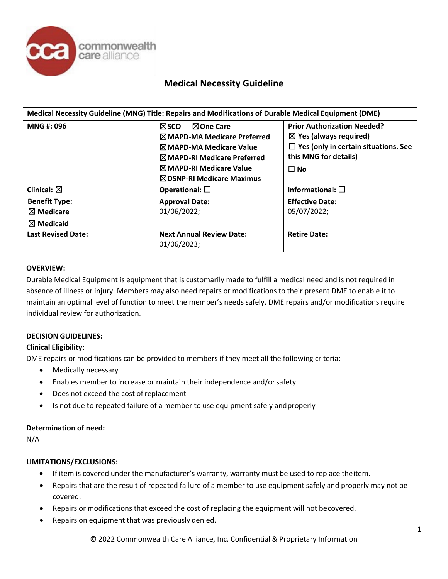

# **Medical Necessity Guideline**

| Medical Necessity Guideline (MNG) Title: Repairs and Modifications of Durable Medical Equipment (DME) |                                                                                                                                                                                                                          |                                                                                                                                                              |  |  |
|-------------------------------------------------------------------------------------------------------|--------------------------------------------------------------------------------------------------------------------------------------------------------------------------------------------------------------------------|--------------------------------------------------------------------------------------------------------------------------------------------------------------|--|--|
| MNG#: 096                                                                                             | <b>N</b> sco<br><b>NOne Care</b><br><b>NMAPD-MA Medicare Preferred</b><br><b>MMAPD-MA Medicare Value</b><br><b>MMAPD-RI Medicare Preferred</b><br><b>MMAPD-RI Medicare Value</b><br>$\boxtimes$ DSNP-RI Medicare Maximus | <b>Prior Authorization Needed?</b><br>$\boxtimes$ Yes (always required)<br>$\Box$ Yes (only in certain situations. See<br>this MNG for details)<br>$\Box$ No |  |  |
| Clinical: $\boxtimes$                                                                                 | Operational: $\square$                                                                                                                                                                                                   | Informational: $\square$                                                                                                                                     |  |  |
| <b>Benefit Type:</b><br>$\boxtimes$ Medicare<br>$\boxtimes$ Medicaid                                  | <b>Approval Date:</b><br>01/06/2022;                                                                                                                                                                                     | <b>Effective Date:</b><br>05/07/2022;                                                                                                                        |  |  |
| <b>Last Revised Date:</b>                                                                             | <b>Next Annual Review Date:</b><br>01/06/2023;                                                                                                                                                                           | <b>Retire Date:</b>                                                                                                                                          |  |  |

#### **OVERVIEW:**

Durable Medical Equipment is equipment that is customarily made to fulfill a medical need and is not required in absence of illness or injury. Members may also need repairs or modifications to their present DME to enable it to maintain an optimal level of function to meet the member's needs safely. DME repairs and/or modifications require individual review for authorization.

### **DECISION GUIDELINES:**

#### **Clinical Eligibility:**

DME repairs or modifications can be provided to members if they meet all the following criteria:

- Medically necessary
- Enables member to increase or maintain their independence and/orsafety
- Does not exceed the cost of replacement
- Is not due to repeated failure of a member to use equipment safely and properly

## **Determination of need:**

N/A

#### **LIMITATIONS/EXCLUSIONS:**

- If item is covered under the manufacturer's warranty, warranty must be used to replace theitem.
- Repairs that are the result of repeated failure of a member to use equipment safely and properly may not be covered.
- Repairs or modifications that exceed the cost of replacing the equipment will not becovered.
- Repairs on equipment that was previously denied.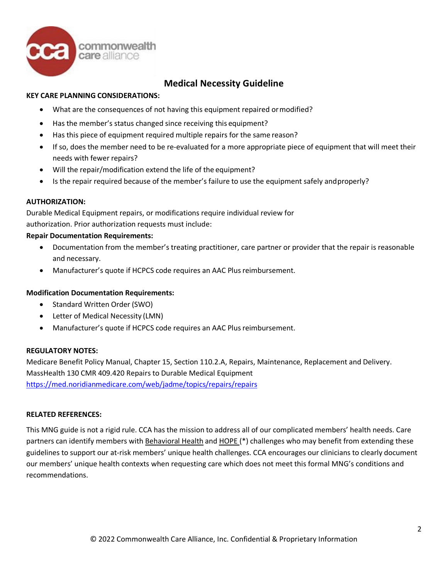

# **Medical Necessity Guideline**

## **KEY CARE PLANNING CONSIDERATIONS:**

- What are the consequences of not having this equipment repaired ormodified?
- Has the member's status changed since receiving this equipment?
- Has this piece of equipment required multiple repairs for the same reason?
- If so, does the member need to be re-evaluated for a more appropriate piece of equipment that will meet their needs with fewer repairs?
- Will the repair/modification extend the life of the equipment?
- Is the repair required because of the member's failure to use the equipment safely andproperly?

#### **AUTHORIZATION:**

Durable Medical Equipment repairs, or modifications require individual review for authorization. Prior authorization requests must include:

#### **Repair Documentation Requirements:**

- Documentation from the member's treating practitioner, care partner or provider that the repair is reasonable and necessary.
- Manufacturer's quote if HCPCS code requires an AAC Plus reimbursement.

#### **Modification Documentation Requirements:**

- Standard Written Order (SWO)
- Letter of Medical Necessity (LMN)
- Manufacturer's quote if HCPCS code requires an AAC Plus reimbursement.

#### **REGULATORY NOTES:**

Medicare Benefit Policy Manual, Chapter 15, Section 110.2.A, Repairs, Maintenance, Replacement and Delivery. MassHealth 130 CMR 409.420 Repairs to Durable Medical Equipment <https://med.noridianmedicare.com/web/jadme/topics/repairs/repairs>

#### **RELATED REFERENCES:**

This MNG guide is not a rigid rule. CCA has the mission to address all of our complicated members' health needs. Care partners can identify members with Behavioral Health and HOPE (\*) challenges who may benefit from extending these guidelines to support our at-risk members' unique health challenges. CCA encourages our clinicians to clearly document our members' unique health contexts when requesting care which does not meet this formal MNG's conditions and recommendations.